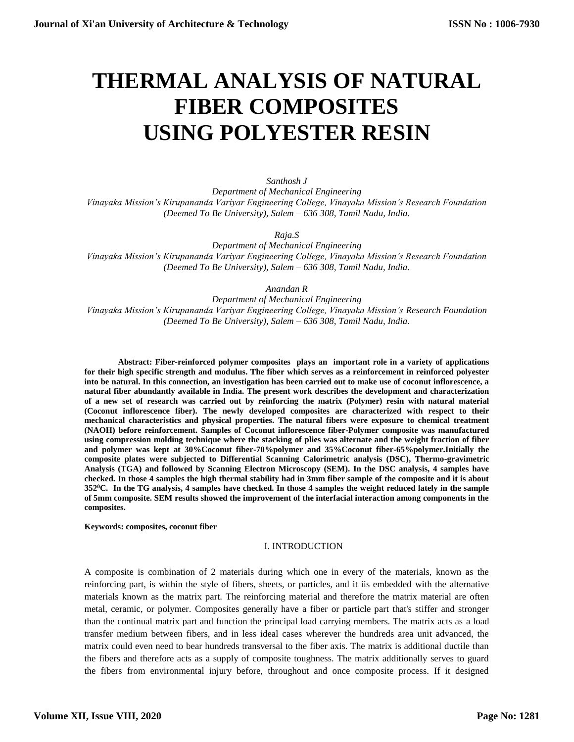# **THERMAL ANALYSIS OF NATURAL FIBER COMPOSITES USING POLYESTER RESIN**

*Santhosh J Department of Mechanical Engineering Vinayaka Mission's Kirupananda Variyar Engineering College, Vinayaka Mission's Research Foundation (Deemed To Be University), Salem – 636 308, Tamil Nadu, India.*

*Raja.S*

*Department of Mechanical Engineering Vinayaka Mission's Kirupananda Variyar Engineering College, Vinayaka Mission's Research Foundation (Deemed To Be University), Salem – 636 308, Tamil Nadu, India.*

*Anandan R*

*Department of Mechanical Engineering Vinayaka Mission's Kirupananda Variyar Engineering College, Vinayaka Mission's Research Foundation (Deemed To Be University), Salem – 636 308, Tamil Nadu, India.*

**Abstract: Fiber-reinforced polymer composites plays an important role in a variety of applications for their high specific strength and modulus. The fiber which serves as a reinforcement in reinforced polyester into be natural. In this connection, an investigation has been carried out to make use of coconut inflorescence, a natural fiber abundantly available in India. The present work describes the development and characterization of a new set of research was carried out by reinforcing the matrix (Polymer) resin with natural material (Coconut inflorescence fiber). The newly developed composites are characterized with respect to their mechanical characteristics and physical properties. The natural fibers were exposure to chemical treatment (NAOH) before reinforcement. Samples of Coconut inflorescence fiber-Polymer composite was manufactured using compression molding technique where the stacking of plies was alternate and the weight fraction of fiber and polymer was kept at 30%Coconut fiber-70%polymer and 35%Coconut fiber-65%polymer.Initially the composite plates were subjected to Differential Scanning Calorimetric analysis (DSC), Thermo-gravimetric Analysis (TGA) and followed by Scanning Electron Microscopy (SEM). In the DSC analysis, 4 samples have checked. In those 4 samples the high thermal stability had in 3mm fiber sample of the composite and it is about 352<sup>0</sup>C. In the TG analysis, 4 samples have checked. In those 4 samples the weight reduced lately in the sample of 5mm composite. SEM results showed the improvement of the interfacial interaction among components in the composites.**

**Keywords: composites, coconut fiber**

#### I. INTRODUCTION

A composite is combination of 2 materials during which one in every of the materials, known as the reinforcing part, is within the style of fibers, sheets, or particles, and it iis embedded with the alternative materials known as the matrix part. The reinforcing material and therefore the matrix material are often metal, ceramic, or polymer. Composites generally have a fiber or particle part that's stiffer and stronger than the continual matrix part and function the principal load carrying members. The matrix acts as a load transfer medium between fibers, and in less ideal cases wherever the hundreds area unit advanced, the matrix could even need to bear hundreds transversal to the fiber axis. The matrix is additional ductile than the fibers and therefore acts as a supply of composite toughness. The matrix additionally serves to guard the fibers from environmental injury before, throughout and once composite process. If it designed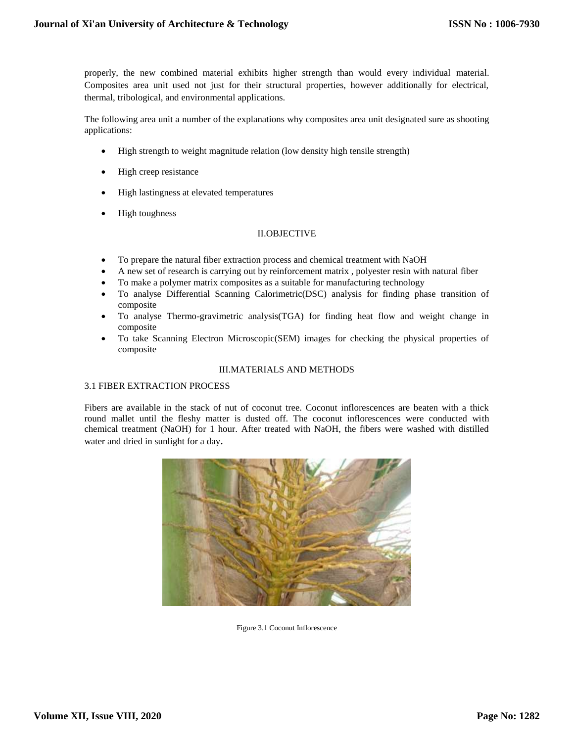properly, the new combined material exhibits higher strength than would every individual material. Composites area unit used not just for their structural properties, however additionally for electrical, thermal, tribological, and environmental applications.

The following area unit a number of the explanations why composites area unit designated sure as shooting applications:

- High strength to weight magnitude relation (low density high tensile strength)
- High creep resistance
- High lastingness at elevated temperatures
- High toughness

## II.OBJECTIVE

- To prepare the natural fiber extraction process and chemical treatment with NaOH
- A new set of research is carrying out by reinforcement matrix , polyester resin with natural fiber
- To make a polymer matrix composites as a suitable for manufacturing technology
- To analyse Differential Scanning Calorimetric(DSC) analysis for finding phase transition of composite
- To analyse Thermo-gravimetric analysis(TGA) for finding heat flow and weight change in composite
- To take Scanning Electron Microscopic(SEM) images for checking the physical properties of composite

## III.MATERIALS AND METHODS

## 3.1 FIBER EXTRACTION PROCESS

Fibers are available in the stack of nut of coconut tree. Coconut inflorescences are beaten with a thick round mallet until the fleshy matter is dusted off. The coconut inflorescences were conducted with chemical treatment (NaOH) for 1 hour. After treated with NaOH, the fibers were washed with distilled water and dried in sunlight for a day.



Figure 3.1 Coconut Inflorescence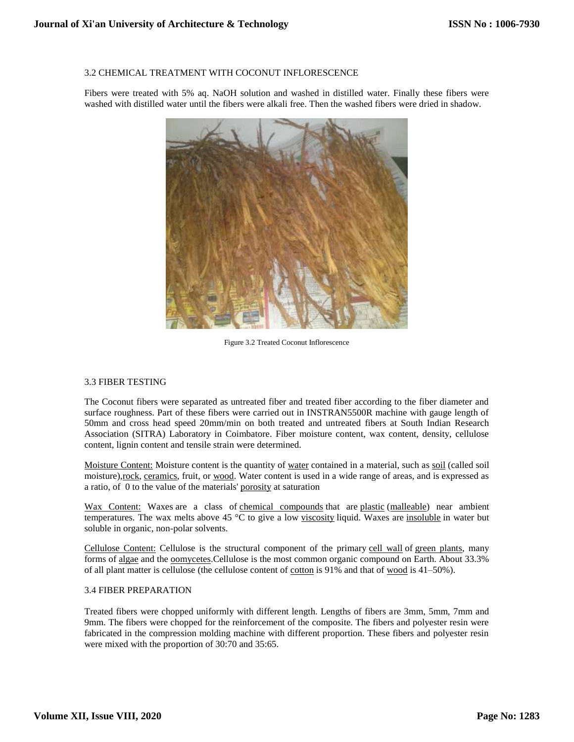#### 3.2 CHEMICAL TREATMENT WITH COCONUT INFLORESCENCE

Fibers were treated with 5% aq. NaOH solution and washed in distilled water. Finally these fibers were washed with distilled water until the fibers were alkali free. Then the washed fibers were dried in shadow.



Figure 3.2 Treated Coconut Inflorescence

## 3.3 FIBER TESTING

The Coconut fibers were separated as untreated fiber and treated fiber according to the fiber diameter and surface roughness. Part of these fibers were carried out in INSTRAN5500R machine with gauge length of 50mm and cross head speed 20mm/min on both treated and untreated fibers at South Indian Research Association (SITRA) Laboratory in Coimbatore. Fiber moisture content, wax content, density, cellulose content, lignin content and tensile strain were determined.

Moisture Content: Moisture content is the quantity of [water](http://en.wikipedia.org/wiki/Water) contained in a material, such as [soil](http://en.wikipedia.org/wiki/Soil) (called soil moisture)[,rock,](http://en.wikipedia.org/wiki/Rock_(geology)) [ceramics,](http://en.wikipedia.org/wiki/Ceramic) fruit, or [wood.](http://en.wikipedia.org/wiki/Wood) Water content is used in a wide range of areas, and is expressed as a ratio, of 0 to the value of the materials' [porosity](http://en.wikipedia.org/wiki/Porosity) at saturation

Wax Content: Waxes are a class of [chemical compounds](http://en.wikipedia.org/wiki/Chemical_compound) that are [plastic](http://en.wikipedia.org/wiki/Plasticity_(physics)) [\(malleable\)](http://en.wikipedia.org/wiki/Malleability) near ambient temperatures. The wax melts above 45  $\degree$ C to give a low [viscosity](http://en.wikipedia.org/wiki/Viscosity) liquid. Waxes are [insoluble](http://en.wikipedia.org/wiki/Solubility) in water but soluble in organic, non-polar solvents.

Cellulose Content: Cellulose is the structural component of the primary [cell wall](http://en.wikipedia.org/wiki/Cell_wall) of [green plants,](http://en.wikipedia.org/wiki/Green_plants) many forms of [algae](http://en.wikipedia.org/wiki/Algae) and the <u>oomycetes</u>.Cellulose is the most common organic compound on Earth. About 33.3% of all plant matter is cellulose (the cellulose content of  $\frac{\text{cotton}}{\text{coton}}$  $\frac{\text{cotton}}{\text{coton}}$  $\frac{\text{cotton}}{\text{coton}}$  is 91% and that of  $\frac{\text{wood}}{\text{mod}}$  $\frac{\text{wood}}{\text{mod}}$  $\frac{\text{wood}}{\text{mod}}$  is 41–50%).

## 3.4 FIBER PREPARATION

Treated fibers were chopped uniformly with different length. Lengths of fibers are 3mm, 5mm, 7mm and 9mm. The fibers were chopped for the reinforcement of the composite. The fibers and polyester resin were fabricated in the compression molding machine with different proportion. These fibers and polyester resin were mixed with the proportion of 30:70 and 35:65.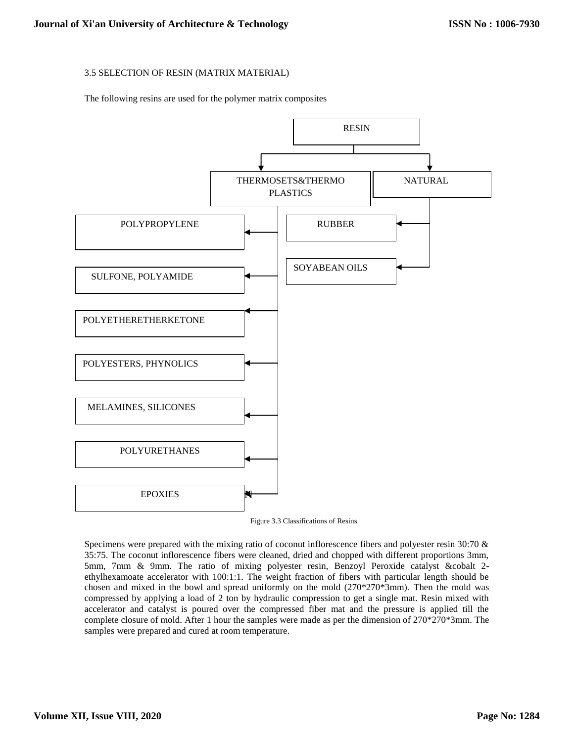## 3.5 SELECTION OF RESIN (MATRIX MATERIAL)

The following resins are used for the polymer matrix composites





Specimens were prepared with the mixing ratio of coconut inflorescence fibers and polyester resin 30:70 & 35:75. The coconut inflorescence fibers were cleaned, dried and chopped with different proportions 3mm, 5mm, 7mm & 9mm. The ratio of mixing polyester resin, Benzoyl Peroxide catalyst &cobalt 2 ethylhexamoate accelerator with 100:1:1. The weight fraction of fibers with particular length should be chosen and mixed in the bowl and spread uniformly on the mold (270\*270\*3mm). Then the mold was compressed by applying a load of 2 ton by hydraulic compression to get a single mat. Resin mixed with accelerator and catalyst is poured over the compressed fiber mat and the pressure is applied till the complete closure of mold. After 1 hour the samples were made as per the dimension of 270\*270\*3mm. The samples were prepared and cured at room temperature.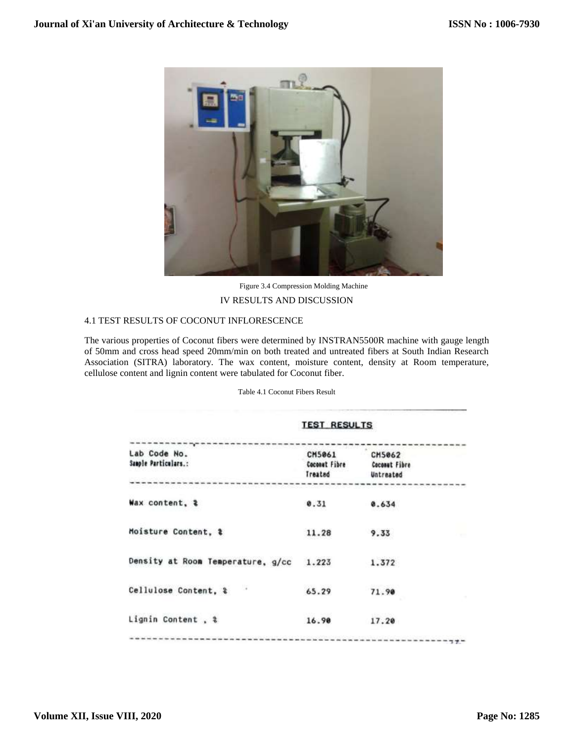

Figure 3.4 Compression Molding Machine IV RESULTS AND DISCUSSION

## 4.1 TEST RESULTS OF COCONUT INFLORESCENCE

The various properties of Coconut fibers were determined by INSTRAN5500R machine with gauge length of 50mm and cross head speed 20mm/min on both treated and untreated fibers at South Indian Research Association (SITRA) laboratory. The wax content, moisture content, density at Room temperature, cellulose content and lignin content were tabulated for Coconut fiber.

Table 4.1 Coconut Fibers Result

|                                      | <b>TEST RESULTS</b>                |                                                    |
|--------------------------------------|------------------------------------|----------------------------------------------------|
| Lab Code No.<br>Sample Particulars.: | CM5061<br>Coconut Fibre<br>Treated | <b>CH5062</b><br><b>Coconut Fibre</b><br>Untreated |
| Wax content, &                       | 0.31                               | 0.634                                              |
| Moisture Content, \$                 | 11.28                              | 9.33                                               |
| Density at Room Temperature, g/cc    | 1.223                              | 1.372                                              |
| Cellulose Content, &                 | 65.29                              | 71.90                                              |
| Lignin Content, %                    | 16.90                              | 17.20                                              |
|                                      |                                    |                                                    |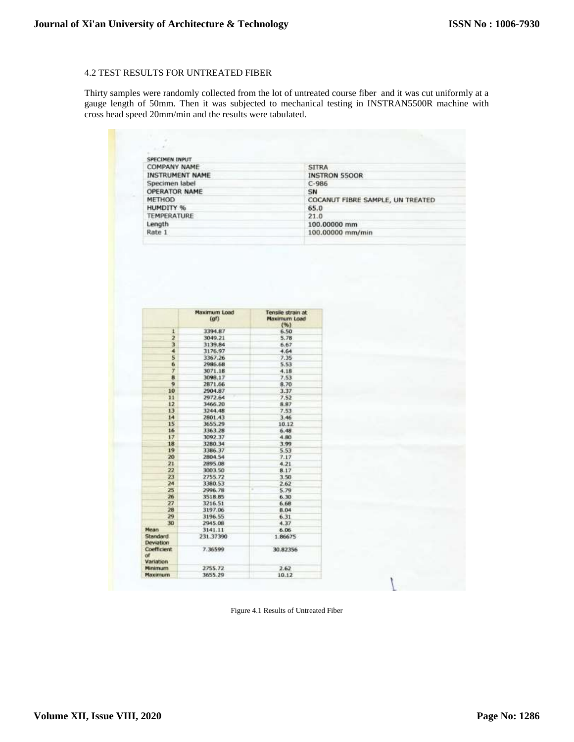## 4.2 TEST RESULTS FOR UNTREATED FIBER

Thirty samples were randomly collected from the lot of untreated course fiber and it was cut uniformly at a gauge length of 50mm. Then it was subjected to mechanical testing in INSTRAN5500R machine with cross head speed 20mm/min and the results were tabulated.

| COMPANY NAME           | <b>SITRA</b>                     |
|------------------------|----------------------------------|
| <b>INSTRUMENT NAME</b> | <b>INSTRON 5500R</b>             |
| Specimen label         | $C - 986$                        |
| <b>OPERATOR NAME</b>   | SN                               |
| METHOD                 | COCANUT FIBRE SAMPLE, UN TREATED |
| <b>HUMDITY %</b>       | 65.0                             |
| TEMPERATURE            | 21.0                             |
| Length                 | 100.00000 mm                     |
| Rate 1                 | 100,00000 mm/min                 |
|                        |                                  |

|                                          | Maximum Load<br>$($ af $)$ | Tensile strain at<br>Maximum Load<br>(96) |
|------------------------------------------|----------------------------|-------------------------------------------|
| 1                                        | 3394.87                    | 6.50                                      |
| $\overline{z}$                           | 3049.21                    | 5.78                                      |
| 3                                        | 3139.84                    | 6.67                                      |
| ä                                        | 3176.97                    | 4,64                                      |
| 5                                        | 3367.26                    | 7.35                                      |
| 6                                        | 2986.68                    | 5.53                                      |
| $\overline{t}$                           | 3071.18                    | 4.18                                      |
| $\overline{8}$                           | 3098.17                    | 7.53                                      |
| $\mathbf{q}$                             | 2871.66                    | 8.70                                      |
| 10                                       | 2904.87                    | 3.37                                      |
| 11                                       | 2972.64                    | 7.52                                      |
| 12                                       | 3466.20                    | 8.87                                      |
| 13                                       | 3244.48                    | 7.53                                      |
| 14                                       | 2801.43                    | 3.46                                      |
| 15                                       | 3655.29                    | 10.12                                     |
| 16                                       | 3363 28                    | 6.48.                                     |
| 17                                       | 3092.37                    | 4.80                                      |
| 18                                       | 3280.34                    | 3.99                                      |
| 19                                       | 3386.37                    | 5.53                                      |
| 20                                       | 2804.54                    | 7.17                                      |
| 21                                       | 2895.08                    | 4.21                                      |
| 22                                       | 3003.50                    | 8.17                                      |
| 23                                       | 2755.72                    | 3.50                                      |
| 24                                       | 3380.53                    | 2.62                                      |
| 25                                       | 2996.78                    | Ŧ<br>5.79                                 |
| 26                                       | 3518.85                    | 6.30                                      |
| 27                                       | 3216.51                    | 6.68                                      |
| 28                                       | 3197.06                    | 8.04                                      |
| 29                                       | 3196.55                    | 6.31                                      |
| 30                                       | 2945.08                    | 4.37                                      |
| Mean                                     | 3141.11                    | 6.06                                      |
| Standard<br>Deviation                    | 231.37390                  | 1.86675                                   |
| Coefficient<br>$\mathbf{d}$<br>Variation | 7.36599                    | 30.82356                                  |
| Minimum                                  | 2755.72                    | 2.62                                      |
| Maximum                                  | 3655.29                    | 10.12                                     |

Figure 4.1 Results of Untreated Fiber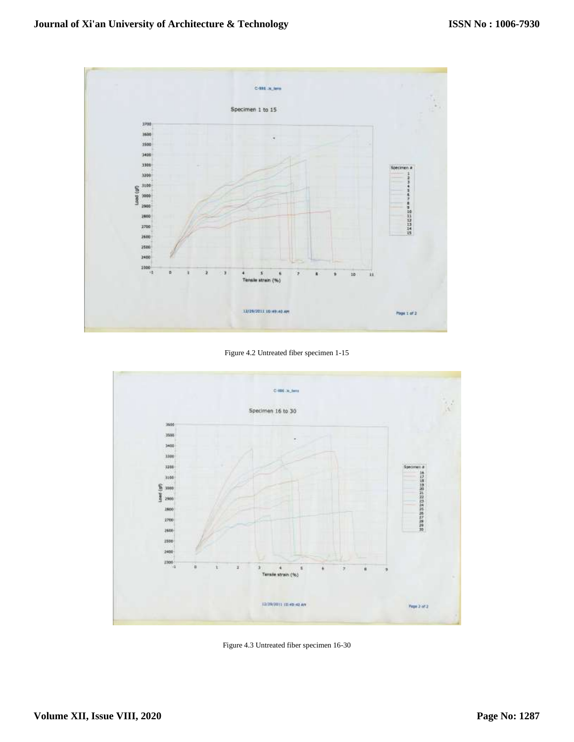

Figure 4.2 Untreated fiber specimen 1-15



Figure 4.3 Untreated fiber specimen 16-30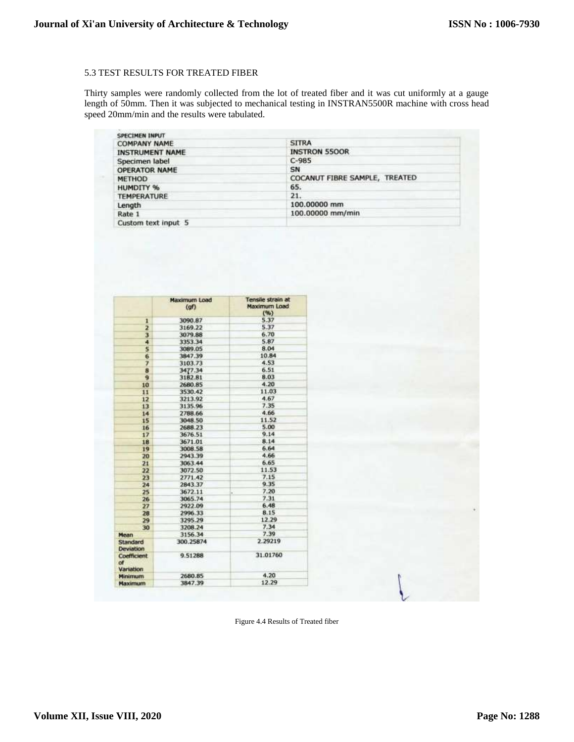## 5.3 TEST RESULTS FOR TREATED FIBER

Thirty samples were randomly collected from the lot of treated fiber and it was cut uniformly at a gauge length of 50mm. Then it was subjected to mechanical testing in INSTRAN5500R machine with cross head speed 20mm/min and the results were tabulated.

| <b>SPECIMEN INPUT</b>  |                               |  |  |
|------------------------|-------------------------------|--|--|
| <b>COMPANY NAME</b>    | <b>SITRA</b>                  |  |  |
| <b>INSTRUMENT NAME</b> | <b>INSTRON 5500R</b>          |  |  |
| Specimen label         | $C-985$                       |  |  |
| <b>OPERATOR NAME</b>   | SN                            |  |  |
| <b>METHOD</b>          | COCANUT FIBRE SAMPLE, TREATED |  |  |
| HUMDITY %              | 65.                           |  |  |
| <b>TEMPERATURE</b>     | 21.                           |  |  |
| Length                 | 100,00000 mm                  |  |  |
| Rate 1                 | 100,00000 mm/min              |  |  |
| Custom text input 5    |                               |  |  |

|                                | Maximum Load<br>(qf) | Tensile strain at<br>Maximum Load<br>(%) |
|--------------------------------|----------------------|------------------------------------------|
| $\mathbf{1}$                   | 3090.87              | 5.37                                     |
| $\overline{\mathbf{z}}$        | 3169.22              | 5.37                                     |
| з                              | 3079.88              | 6.70                                     |
| 4                              | 3353.34              | 5.87                                     |
| 5                              | 3089.05              | 8.04                                     |
| 6                              | 3847.39              | 10.84                                    |
| 7                              | 3103.73              | 4.53                                     |
| 8                              | 3477.34              | 6.51                                     |
| 9                              | 3182.81              | 8.03                                     |
| 10                             | 2680.85              | 4.20                                     |
| 11                             | 3530.42              | 11.03                                    |
| 12                             | 3213.92              | 4.67                                     |
| 13                             | 3135.96              | 7.35                                     |
| 14                             | 2788.66              | 4.66                                     |
| 15                             | 3048.50              | 11.52                                    |
| 16                             | 2688.23              | 5.00                                     |
| 17                             | 3676.51              | 9.14                                     |
| 18                             | 3671.01              | 8.14                                     |
| 19                             | 3008.58              | 6.64                                     |
| 20                             | 2943.39              | 4.66                                     |
| 21                             | 3063.44              | 6.65                                     |
| 22                             | 3072.50              | 11.53                                    |
| 23                             | 2771.42              | 7.15                                     |
| 24                             | 2843.37              | 9.35                                     |
| 25                             | 3672.11              | 7.20<br>i.                               |
| 26                             | 3065.74              | 7.31                                     |
| 27                             | 2922.09              | 6.48                                     |
| 28                             | 2996.33              | 8.15                                     |
| 29                             | 3295.29              | 12.29                                    |
| 30                             | 3208.24              | 7.34                                     |
| Mean                           | 3156.34              | 7.39                                     |
| Standard<br>Deviation          | 300.25874            | 2.29219                                  |
| <b>Coefficient</b><br>$\alpha$ | 9.51288              | 31.01760                                 |
| Variation<br>Minimum           | 2680.85              | 4.20                                     |
| Maximum                        | 3847.39              | 12.29                                    |

Figure 4.4 Results of Treated fiber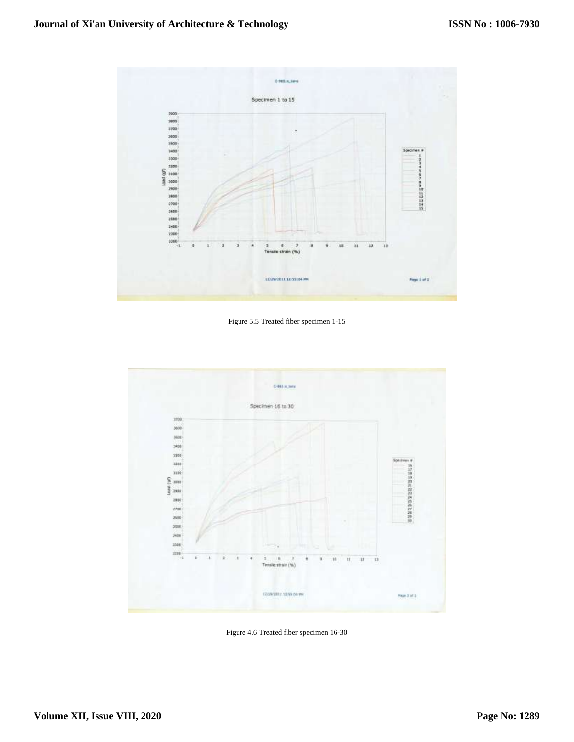

Figure 5.5 Treated fiber specimen 1-15



Figure 4.6 Treated fiber specimen 16-30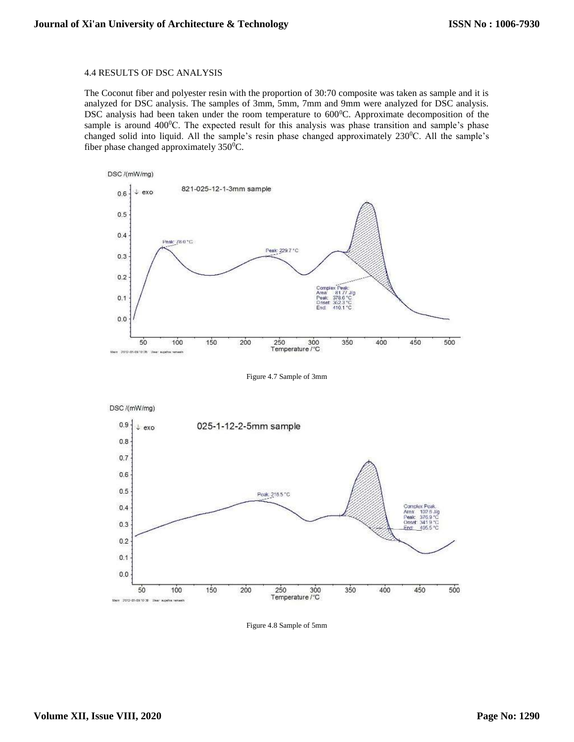#### 4.4 RESULTS OF DSC ANALYSIS

The Coconut fiber and polyester resin with the proportion of 30:70 composite was taken as sample and it is analyzed for DSC analysis. The samples of 3mm, 5mm, 7mm and 9mm were analyzed for DSC analysis. DSC analysis had been taken under the room temperature to 600°C. Approximate decomposition of the sample is around  $400\textdegree$ C. The expected result for this analysis was phase transition and sample's phase changed solid into liquid. All the sample's resin phase changed approximately 230<sup>o</sup>C. All the sample's fiber phase changed approximately  $350^0C$ .



Figure 4.7 Sample of 3mm



Figure 4.8 Sample of 5mm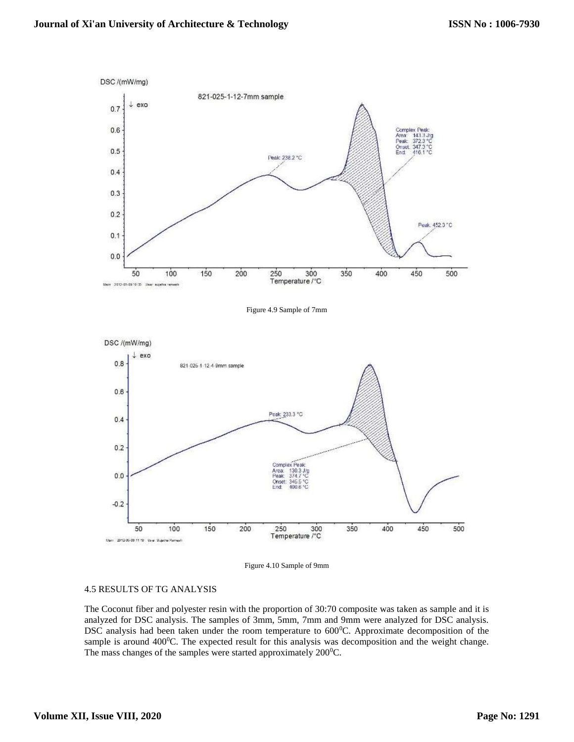

Figure 4.10 Sample of 9mm

Temperature /°C

300

350

400

450

Onset:<br>End: 10C

250

#### 4.5 RESULTS OF TG ANALYSIS

50

Main 2012-05-09 11-18 User SuperiorRemeah

100

150

200

 $-0.2$ 

The Coconut fiber and polyester resin with the proportion of 30:70 composite was taken as sample and it is analyzed for DSC analysis. The samples of 3mm, 5mm, 7mm and 9mm were analyzed for DSC analysis. DSC analysis had been taken under the room temperature to 600<sup>o</sup>C. Approximate decomposition of the sample is around  $400\textdegree$ C. The expected result for this analysis was decomposition and the weight change. The mass changes of the samples were started approximately  $200^{\circ}$ C.

500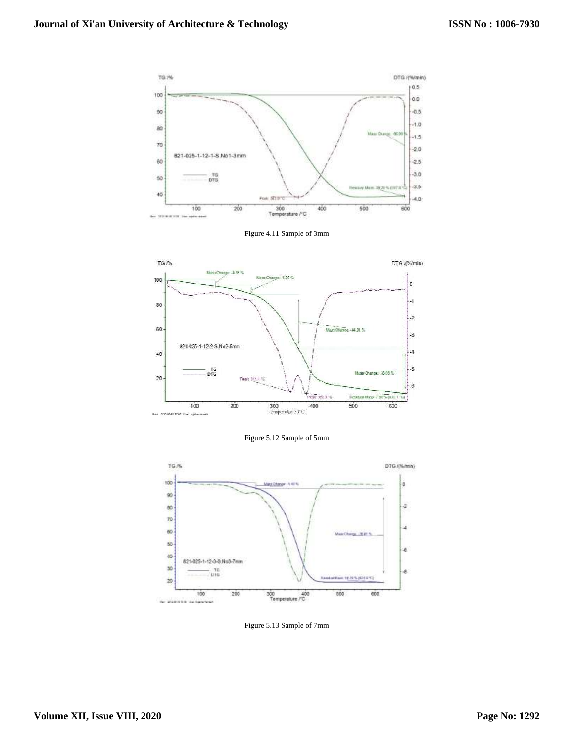

Figure 4.11 Sample of 3mm



Figure 5.12 Sample of 5mm



Figure 5.13 Sample of 7mm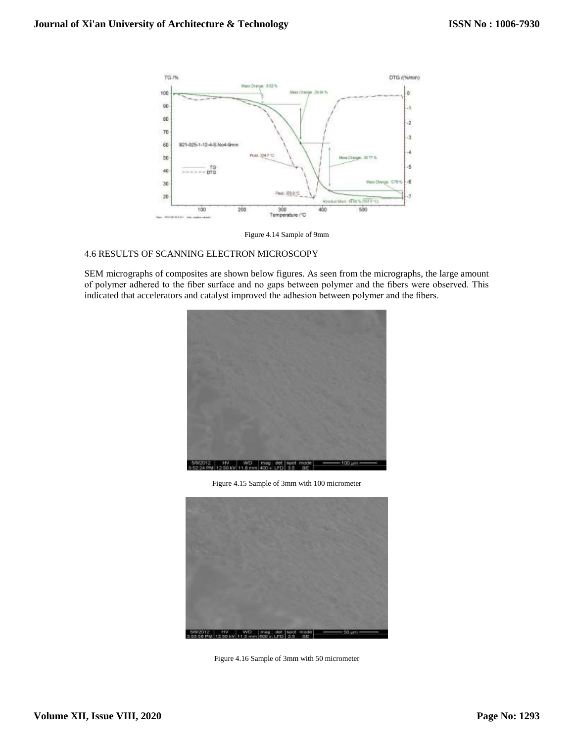

Figure 4.14 Sample of 9mm

## 4.6 RESULTS OF SCANNING ELECTRON MICROSCOPY

SEM micrographs of composites are shown below figures. As seen from the micrographs, the large amount of polymer adhered to the fiber surface and no gaps between polymer and the fibers were observed. This indicated that accelerators and catalyst improved the adhesion between polymer and the fibers.



Figure 4.15 Sample of 3mm with 100 micrometer



Figure 4.16 Sample of 3mm with 50 micrometer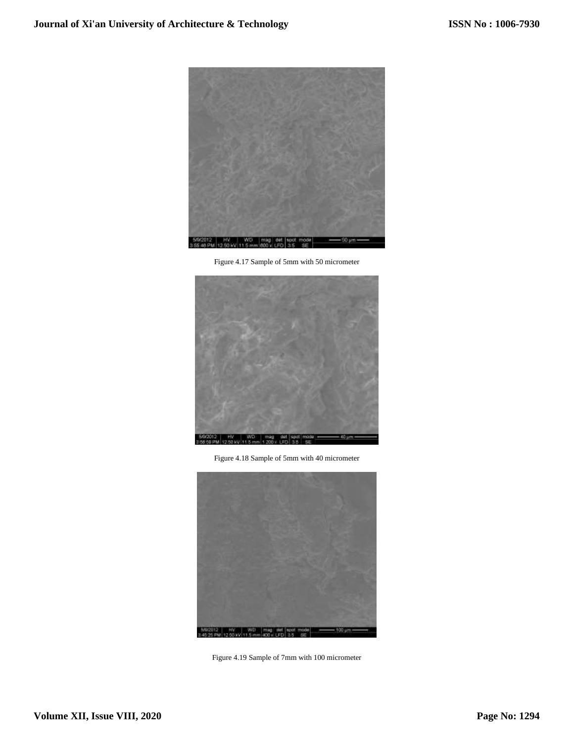

Figure 4.17 Sample of 5mm with 50 micrometer



Figure 4.18 Sample of 5mm with 40 micrometer



Figure 4.19 Sample of 7mm with 100 micrometer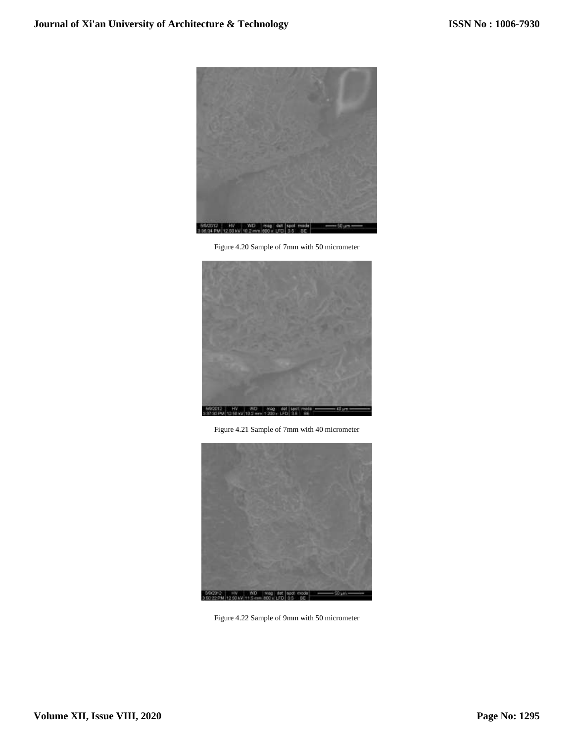

Figure 4.20 Sample of 7mm with 50 micrometer



Figure 4.21 Sample of 7mm with 40 micrometer



Figure 4.22 Sample of 9mm with 50 micrometer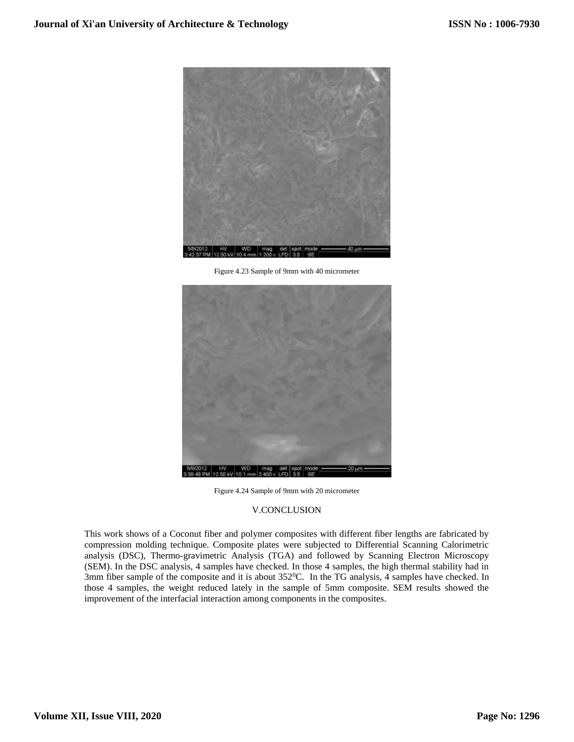

Figure 4.23 Sample of 9mm with 40 micrometer



Figure 4.24 Sample of 9mm with 20 micrometer

## V.CONCLUSION

This work shows of a Coconut fiber and polymer composites with different fiber lengths are fabricated by compression molding technique. Composite plates were subjected to Differential Scanning Calorimetric analysis (DSC), Thermo-gravimetric Analysis (TGA) and followed by Scanning Electron Microscopy (SEM). In the DSC analysis, 4 samples have checked. In those 4 samples, the high thermal stability had in 3mm fiber sample of the composite and it is about 352<sup>0</sup>C. In the TG analysis, 4 samples have checked. In those 4 samples, the weight reduced lately in the sample of 5mm composite. SEM results showed the improvement of the interfacial interaction among components in the composites.